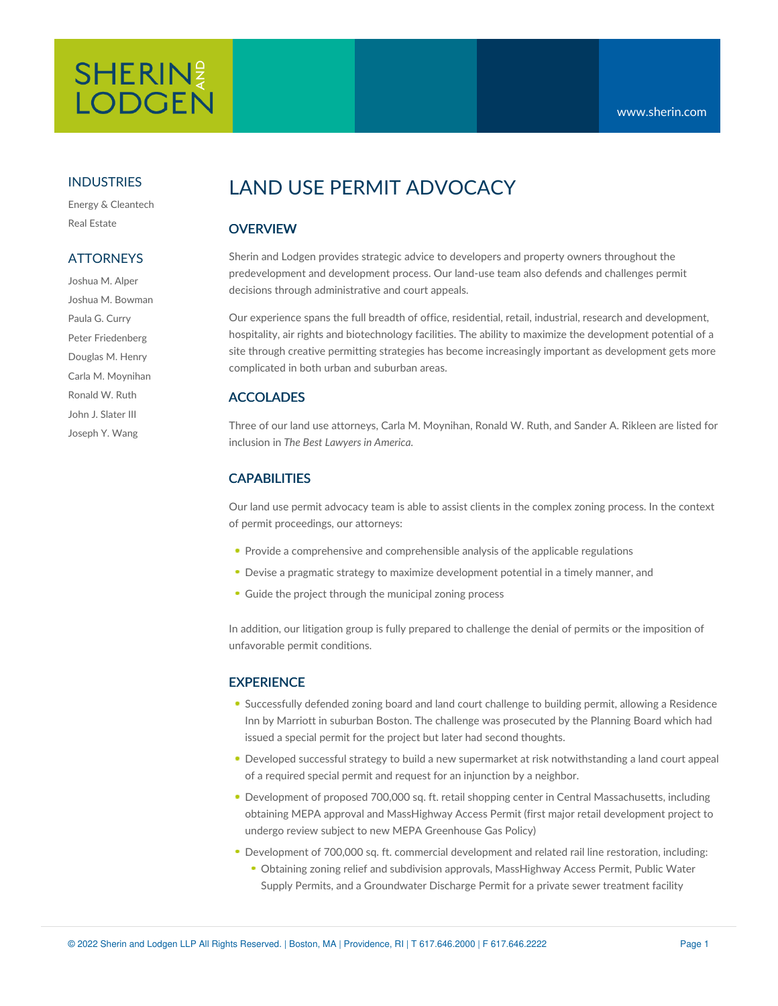# **SHERIN LODGEN**

#### INDUSTRIES

Energy & Cleantech Real Estate

### **ATTORNEYS**

Joshua M. Alper Joshua M. Bowman Paula G. Curry Peter Friedenberg Douglas M. Henry Carla M. Moynihan Ronald W. Ruth John J. Slater III Joseph Y. Wang

# LAND USE PERMIT ADVOCACY

# **OVERVIEW**

Sherin and Lodgen provides strategic advice to developers and property owners throughout the predevelopment and development process. Our land-use team also defends and challenges permit decisions through administrative and court appeals.

Our experience spans the full breadth of office, residential, retail, industrial, research and development, hospitality, air rights and biotechnology facilities. The ability to maximize the development potential of a site through creative permitting strategies has become increasingly important as development gets more complicated in both urban and suburban areas.

#### ACCOLADES

Three of our land use attorneys, Carla M. Moynihan, Ronald W. Ruth, and Sander A. Rikleen are listed for inclusion in *The Best Lawyers in America.*

# CAPABILITIES

Our land use permit advocacy team is able to assist clients in the complex zoning process. In the context of permit proceedings, our attorneys:

- **Provide a comprehensive and comprehensible analysis of the applicable regulations**
- Devise a pragmatic strategy to maximize development potential in a timely manner, and
- Guide the project through the municipal zoning process

In addition, our litigation group is fully prepared to challenge the denial of permits or the imposition of unfavorable permit conditions.

#### **EXPERIENCE**

- Successfully defended zoning board and land court challenge to building permit, allowing a Residence Inn by Marriott in suburban Boston. The challenge was prosecuted by the Planning Board which had issued a special permit for the project but later had second thoughts.
- Developed successful strategy to build a new supermarket at risk notwithstanding a land court appeal of a required special permit and request for an injunction by a neighbor.
- Development of proposed 700,000 sq. ft. retail shopping center in Central Massachusetts, including obtaining MEPA approval and MassHighway Access Permit (first major retail development project to undergo review subject to new MEPA Greenhouse Gas Policy)
- Development of 700,000 sq. ft. commercial development and related rail line restoration, including: Obtaining zoning relief and subdivision approvals, MassHighway Access Permit, Public Water Supply Permits, and a Groundwater Discharge Permit for a private sewer treatment facility